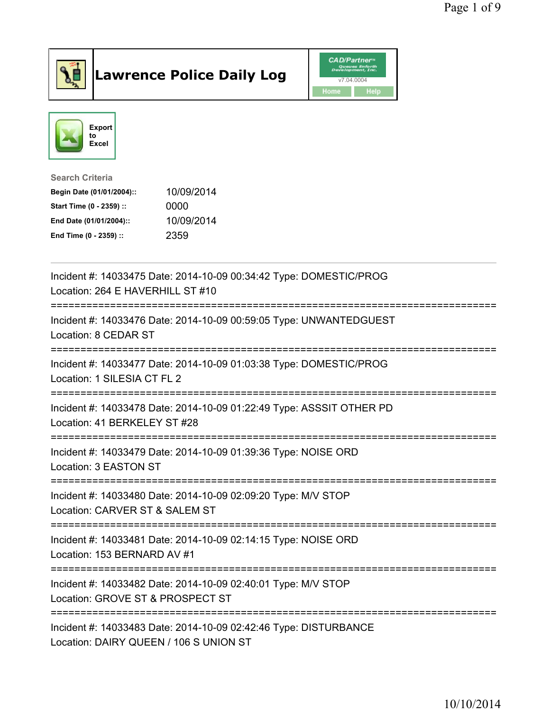

## Lawrence Police Daily Log **Daniel CAD/Partner**





Search Criteria Begin Date (01/01/2004):: 10/09/2014 Start Time (0 - 2359) :: 0000 End Date (01/01/2004):: 10/09/2014 End Time (0 - 2359) :: 2359

| Incident #: 14033475 Date: 2014-10-09 00:34:42 Type: DOMESTIC/PROG<br>Location: 264 E HAVERHILL ST #10              |
|---------------------------------------------------------------------------------------------------------------------|
| Incident #: 14033476 Date: 2014-10-09 00:59:05 Type: UNWANTEDGUEST<br>Location: 8 CEDAR ST<br>;==================== |
| Incident #: 14033477 Date: 2014-10-09 01:03:38 Type: DOMESTIC/PROG<br>Location: 1 SILESIA CT FL 2                   |
| Incident #: 14033478 Date: 2014-10-09 01:22:49 Type: ASSSIT OTHER PD<br>Location: 41 BERKELEY ST #28                |
| Incident #: 14033479 Date: 2014-10-09 01:39:36 Type: NOISE ORD<br>Location: 3 EASTON ST                             |
| Incident #: 14033480 Date: 2014-10-09 02:09:20 Type: M/V STOP<br>Location: CARVER ST & SALEM ST                     |
| Incident #: 14033481 Date: 2014-10-09 02:14:15 Type: NOISE ORD<br>Location: 153 BERNARD AV #1                       |
| Incident #: 14033482 Date: 2014-10-09 02:40:01 Type: M/V STOP<br>Location: GROVE ST & PROSPECT ST                   |
| Incident #: 14033483 Date: 2014-10-09 02:42:46 Type: DISTURBANCE<br>Location: DAIRY QUEEN / 106 S UNION ST          |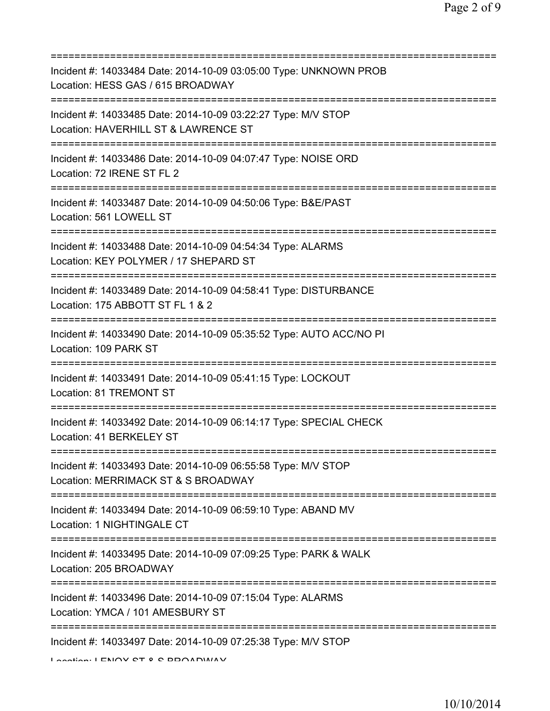| Incident #: 14033484 Date: 2014-10-09 03:05:00 Type: UNKNOWN PROB<br>Location: HESS GAS / 615 BROADWAY                          |
|---------------------------------------------------------------------------------------------------------------------------------|
| Incident #: 14033485 Date: 2014-10-09 03:22:27 Type: M/V STOP<br>Location: HAVERHILL ST & LAWRENCE ST                           |
| Incident #: 14033486 Date: 2014-10-09 04:07:47 Type: NOISE ORD<br>Location: 72 IRENE ST FL 2                                    |
| Incident #: 14033487 Date: 2014-10-09 04:50:06 Type: B&E/PAST<br>Location: 561 LOWELL ST                                        |
| Incident #: 14033488 Date: 2014-10-09 04:54:34 Type: ALARMS<br>Location: KEY POLYMER / 17 SHEPARD ST                            |
| Incident #: 14033489 Date: 2014-10-09 04:58:41 Type: DISTURBANCE<br>Location: 175 ABBOTT ST FL 1 & 2                            |
| :=====================<br>Incident #: 14033490 Date: 2014-10-09 05:35:52 Type: AUTO ACC/NO PI<br>Location: 109 PARK ST          |
| ====================================<br>Incident #: 14033491 Date: 2014-10-09 05:41:15 Type: LOCKOUT<br>Location: 81 TREMONT ST |
| Incident #: 14033492 Date: 2014-10-09 06:14:17 Type: SPECIAL CHECK<br>Location: 41 BERKELEY ST                                  |
| Incident #: 14033493 Date: 2014-10-09 06:55:58 Type: M/V STOP<br>Location: MERRIMACK ST & S BROADWAY                            |
| Incident #: 14033494 Date: 2014-10-09 06:59:10 Type: ABAND MV<br>Location: 1 NIGHTINGALE CT                                     |
| Incident #: 14033495 Date: 2014-10-09 07:09:25 Type: PARK & WALK<br>Location: 205 BROADWAY                                      |
| Incident #: 14033496 Date: 2014-10-09 07:15:04 Type: ALARMS<br>Location: YMCA / 101 AMESBURY ST                                 |
| Incident #: 14033497 Date: 2014-10-09 07:25:38 Type: M/V STOP<br>I contion: I ENOV CT 0 C DDOADMAV                              |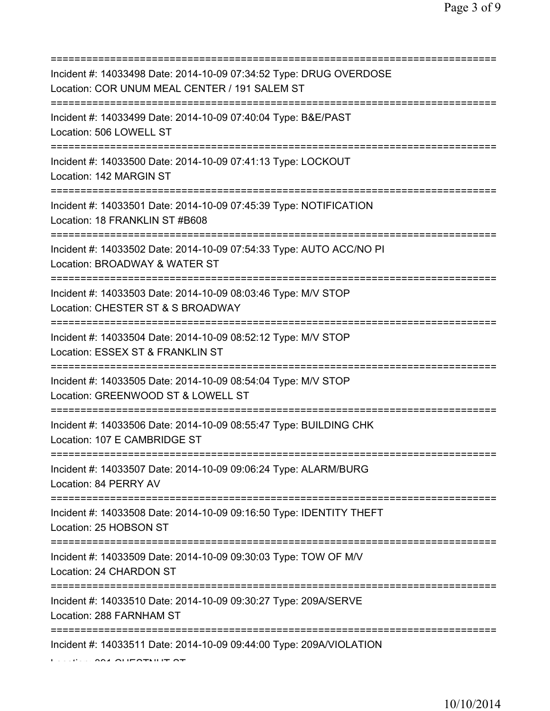| Incident #: 14033498 Date: 2014-10-09 07:34:52 Type: DRUG OVERDOSE<br>Location: COR UNUM MEAL CENTER / 191 SALEM ST               |
|-----------------------------------------------------------------------------------------------------------------------------------|
| Incident #: 14033499 Date: 2014-10-09 07:40:04 Type: B&E/PAST<br>Location: 506 LOWELL ST                                          |
| Incident #: 14033500 Date: 2014-10-09 07:41:13 Type: LOCKOUT<br>Location: 142 MARGIN ST<br>====================================== |
| Incident #: 14033501 Date: 2014-10-09 07:45:39 Type: NOTIFICATION<br>Location: 18 FRANKLIN ST #B608                               |
| Incident #: 14033502 Date: 2014-10-09 07:54:33 Type: AUTO ACC/NO PI<br>Location: BROADWAY & WATER ST<br>=====================     |
| Incident #: 14033503 Date: 2014-10-09 08:03:46 Type: M/V STOP<br>Location: CHESTER ST & S BROADWAY                                |
| Incident #: 14033504 Date: 2014-10-09 08:52:12 Type: M/V STOP<br>Location: ESSEX ST & FRANKLIN ST                                 |
| Incident #: 14033505 Date: 2014-10-09 08:54:04 Type: M/V STOP<br>Location: GREENWOOD ST & LOWELL ST                               |
| Incident #: 14033506 Date: 2014-10-09 08:55:47 Type: BUILDING CHK<br>Location: 107 E CAMBRIDGE ST                                 |
| Incident #: 14033507 Date: 2014-10-09 09:06:24 Type: ALARM/BURG<br>Location: 84 PERRY AV                                          |
| Incident #: 14033508 Date: 2014-10-09 09:16:50 Type: IDENTITY THEFT<br>Location: 25 HOBSON ST                                     |
| ===========================<br>Incident #: 14033509 Date: 2014-10-09 09:30:03 Type: TOW OF M/V<br>Location: 24 CHARDON ST         |
| Incident #: 14033510 Date: 2014-10-09 09:30:27 Type: 209A/SERVE<br>Location: 288 FARNHAM ST                                       |
| Incident #: 14033511 Date: 2014-10-09 09:44:00 Type: 209A/VIOLATION                                                               |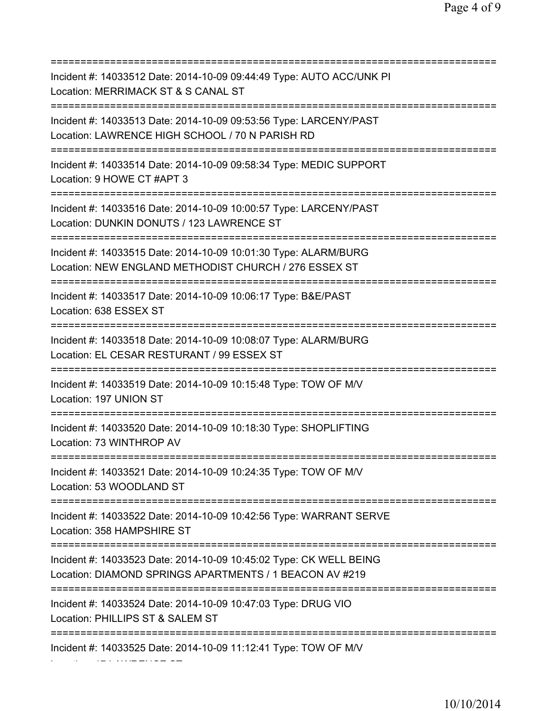=========================================================================== Incident #: 14033512 Date: 2014-10-09 09:44:49 Type: AUTO ACC/UNK PI Location: MERRIMACK ST & S CANAL ST =========================================================================== Incident #: 14033513 Date: 2014-10-09 09:53:56 Type: LARCENY/PAST Location: LAWRENCE HIGH SCHOOL / 70 N PARISH RD =========================================================================== Incident #: 14033514 Date: 2014-10-09 09:58:34 Type: MEDIC SUPPORT Location: 9 HOWE CT #APT 3 =========================================================================== Incident #: 14033516 Date: 2014-10-09 10:00:57 Type: LARCENY/PAST Location: DUNKIN DONUTS / 123 LAWRENCE ST =========================================================================== Incident #: 14033515 Date: 2014-10-09 10:01:30 Type: ALARM/BURG Location: NEW ENGLAND METHODIST CHURCH / 276 ESSEX ST =========================================================================== Incident #: 14033517 Date: 2014-10-09 10:06:17 Type: B&E/PAST Location: 638 ESSEX ST =========================================================================== Incident #: 14033518 Date: 2014-10-09 10:08:07 Type: ALARM/BURG Location: EL CESAR RESTURANT / 99 ESSEX ST =========================================================================== Incident #: 14033519 Date: 2014-10-09 10:15:48 Type: TOW OF M/V Location: 197 UNION ST =========================================================================== Incident #: 14033520 Date: 2014-10-09 10:18:30 Type: SHOPLIFTING Location: 73 WINTHROP AV =========================================================================== Incident #: 14033521 Date: 2014-10-09 10:24:35 Type: TOW OF M/V Location: 53 WOODLAND ST =========================================================================== Incident #: 14033522 Date: 2014-10-09 10:42:56 Type: WARRANT SERVE Location: 358 HAMPSHIRE ST =========================================================================== Incident #: 14033523 Date: 2014-10-09 10:45:02 Type: CK WELL BEING Location: DIAMOND SPRINGS APARTMENTS / 1 BEACON AV #219 =========================================================================== Incident #: 14033524 Date: 2014-10-09 10:47:03 Type: DRUG VIO Location: PHILLIPS ST & SALEM ST =========================================================================== Incident #: 14033525 Date: 2014-10-09 11:12:41 Type: TOW OF M/V

Location: 17 LAWRENCE ST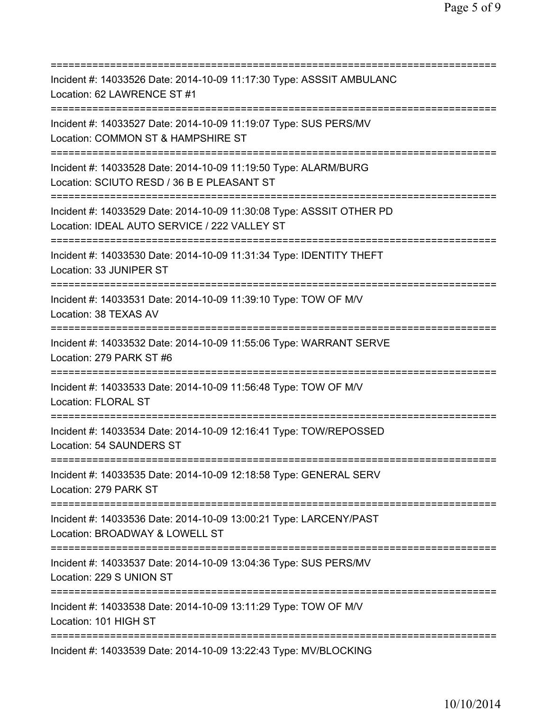=========================================================================== Incident #: 14033526 Date: 2014-10-09 11:17:30 Type: ASSSIT AMBULANC Location: 62 LAWRENCE ST #1 =========================================================================== Incident #: 14033527 Date: 2014-10-09 11:19:07 Type: SUS PERS/MV Location: COMMON ST & HAMPSHIRE ST =========================================================================== Incident #: 14033528 Date: 2014-10-09 11:19:50 Type: ALARM/BURG Location: SCIUTO RESD / 36 B E PLEASANT ST =========================================================================== Incident #: 14033529 Date: 2014-10-09 11:30:08 Type: ASSSIT OTHER PD Location: IDEAL AUTO SERVICE / 222 VALLEY ST =========================================================================== Incident #: 14033530 Date: 2014-10-09 11:31:34 Type: IDENTITY THEFT Location: 33 JUNIPER ST =========================================================================== Incident #: 14033531 Date: 2014-10-09 11:39:10 Type: TOW OF M/V Location: 38 TEXAS AV =========================================================================== Incident #: 14033532 Date: 2014-10-09 11:55:06 Type: WARRANT SERVE Location: 279 PARK ST #6 =========================================================================== Incident #: 14033533 Date: 2014-10-09 11:56:48 Type: TOW OF M/V Location: FLORAL ST =========================================================================== Incident #: 14033534 Date: 2014-10-09 12:16:41 Type: TOW/REPOSSED Location: 54 SAUNDERS ST =========================================================================== Incident #: 14033535 Date: 2014-10-09 12:18:58 Type: GENERAL SERV Location: 279 PARK ST =========================================================================== Incident #: 14033536 Date: 2014-10-09 13:00:21 Type: LARCENY/PAST Location: BROADWAY & LOWELL ST =========================================================================== Incident #: 14033537 Date: 2014-10-09 13:04:36 Type: SUS PERS/MV Location: 229 S UNION ST =========================================================================== Incident #: 14033538 Date: 2014-10-09 13:11:29 Type: TOW OF M/V Location: 101 HIGH ST =========================================================================== Incident #: 14033539 Date: 2014-10-09 13:22:43 Type: MV/BLOCKING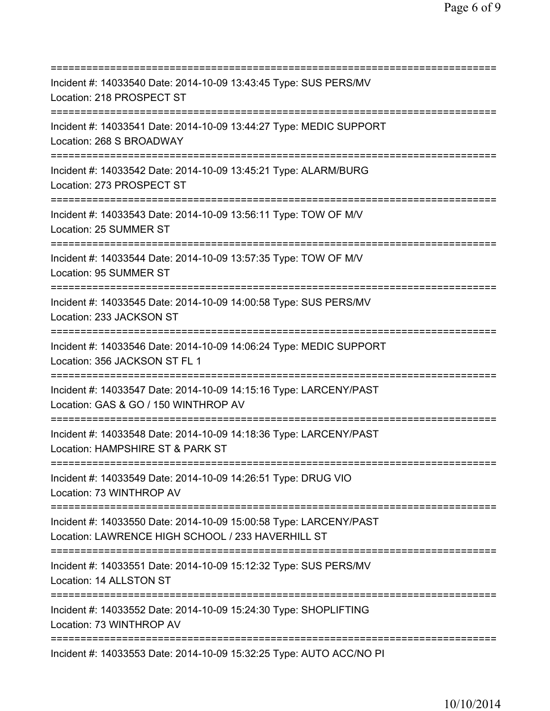| ============================                                                                                                          |
|---------------------------------------------------------------------------------------------------------------------------------------|
| Incident #: 14033540 Date: 2014-10-09 13:43:45 Type: SUS PERS/MV<br>Location: 218 PROSPECT ST                                         |
| Incident #: 14033541 Date: 2014-10-09 13:44:27 Type: MEDIC SUPPORT<br>Location: 268 S BROADWAY                                        |
| Incident #: 14033542 Date: 2014-10-09 13:45:21 Type: ALARM/BURG<br>Location: 273 PROSPECT ST                                          |
| Incident #: 14033543 Date: 2014-10-09 13:56:11 Type: TOW OF M/V<br>Location: 25 SUMMER ST                                             |
| Incident #: 14033544 Date: 2014-10-09 13:57:35 Type: TOW OF M/V<br>Location: 95 SUMMER ST                                             |
| Incident #: 14033545 Date: 2014-10-09 14:00:58 Type: SUS PERS/MV<br>Location: 233 JACKSON ST<br>===========================           |
| Incident #: 14033546 Date: 2014-10-09 14:06:24 Type: MEDIC SUPPORT<br>Location: 356 JACKSON ST FL 1                                   |
| Incident #: 14033547 Date: 2014-10-09 14:15:16 Type: LARCENY/PAST<br>Location: GAS & GO / 150 WINTHROP AV<br>======================== |
| Incident #: 14033548 Date: 2014-10-09 14:18:36 Type: LARCENY/PAST<br>Location: HAMPSHIRE ST & PARK ST                                 |
| Incident #: 14033549 Date: 2014-10-09 14:26:51 Type: DRUG VIO<br>Location: 73 WINTHROP AV                                             |
| Incident #: 14033550 Date: 2014-10-09 15:00:58 Type: LARCENY/PAST<br>Location: LAWRENCE HIGH SCHOOL / 233 HAVERHILL ST                |
| Incident #: 14033551 Date: 2014-10-09 15:12:32 Type: SUS PERS/MV<br>Location: 14 ALLSTON ST                                           |
| Incident #: 14033552 Date: 2014-10-09 15:24:30 Type: SHOPLIFTING<br>Location: 73 WINTHROP AV                                          |
| ===========================<br>Incident #: 14033553 Date: 2014-10-09 15:32:25 Type: AUTO ACC/NO PI                                    |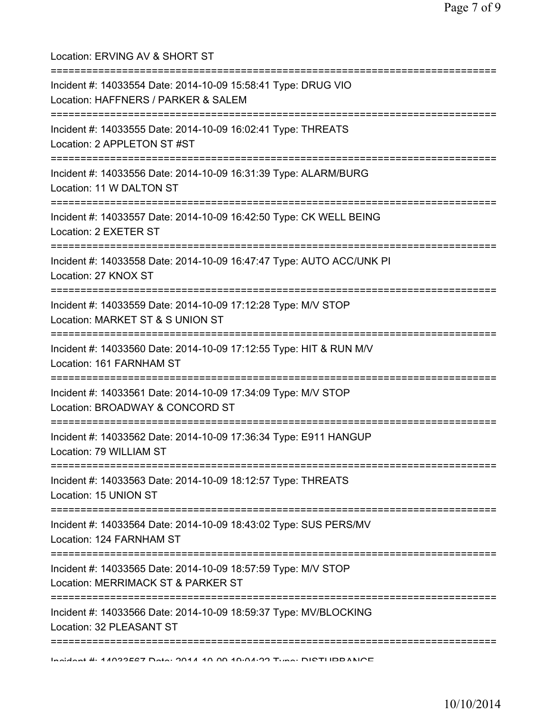Location: ERVING AV & SHORT ST =========================================================================== Incident #: 14033554 Date: 2014-10-09 15:58:41 Type: DRUG VIO Location: HAFFNERS / PARKER & SALEM =========================================================================== Incident #: 14033555 Date: 2014-10-09 16:02:41 Type: THREATS Location: 2 APPLETON ST #ST =========================================================================== Incident #: 14033556 Date: 2014-10-09 16:31:39 Type: ALARM/BURG Location: 11 W DALTON ST =========================================================================== Incident #: 14033557 Date: 2014-10-09 16:42:50 Type: CK WELL BEING Location: 2 EXETER ST =========================================================================== Incident #: 14033558 Date: 2014-10-09 16:47:47 Type: AUTO ACC/UNK PI Location: 27 KNOX ST =========================================================================== Incident #: 14033559 Date: 2014-10-09 17:12:28 Type: M/V STOP Location: MARKET ST & S UNION ST =========================================================================== Incident #: 14033560 Date: 2014-10-09 17:12:55 Type: HIT & RUN M/V Location: 161 FARNHAM ST =========================================================================== Incident #: 14033561 Date: 2014-10-09 17:34:09 Type: M/V STOP Location: BROADWAY & CONCORD ST =========================================================================== Incident #: 14033562 Date: 2014-10-09 17:36:34 Type: E911 HANGUP Location: 79 WILLIAM ST =========================================================================== Incident #: 14033563 Date: 2014-10-09 18:12:57 Type: THREATS Location: 15 UNION ST =========================================================================== Incident #: 14033564 Date: 2014-10-09 18:43:02 Type: SUS PERS/MV Location: 124 FARNHAM ST =========================================================================== Incident #: 14033565 Date: 2014-10-09 18:57:59 Type: M/V STOP Location: MERRIMACK ST & PARKER ST =========================================================================== Incident #: 14033566 Date: 2014-10-09 18:59:37 Type: MV/BLOCKING Location: 32 PLEASANT ST ===========================================================================

Incident #: 14033567 Date: 2014 10 09 19:04:22 Type: DISTURBANCE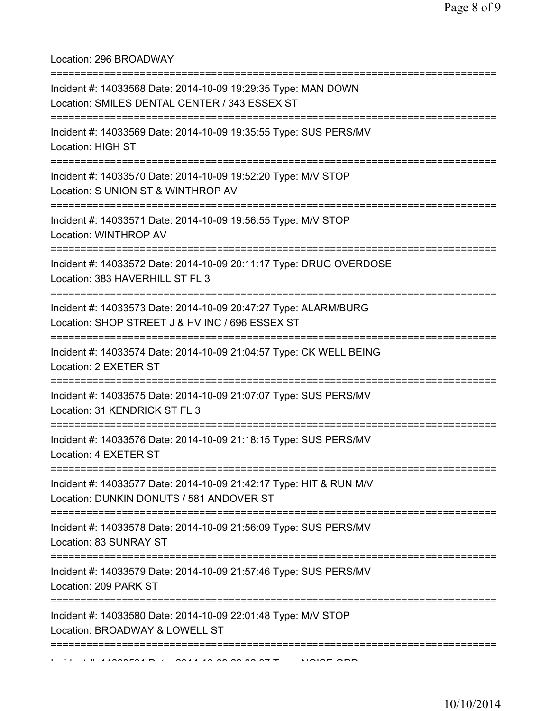## Location: 296 BROADWAY

| Incident #: 14033568 Date: 2014-10-09 19:29:35 Type: MAN DOWN<br>Location: SMILES DENTAL CENTER / 343 ESSEX ST               |
|------------------------------------------------------------------------------------------------------------------------------|
| Incident #: 14033569 Date: 2014-10-09 19:35:55 Type: SUS PERS/MV<br>Location: HIGH ST                                        |
| Incident #: 14033570 Date: 2014-10-09 19:52:20 Type: M/V STOP<br>Location: S UNION ST & WINTHROP AV                          |
| Incident #: 14033571 Date: 2014-10-09 19:56:55 Type: M/V STOP<br>Location: WINTHROP AV<br>===============================    |
| Incident #: 14033572 Date: 2014-10-09 20:11:17 Type: DRUG OVERDOSE<br>Location: 383 HAVERHILL ST FL 3                        |
| Incident #: 14033573 Date: 2014-10-09 20:47:27 Type: ALARM/BURG<br>Location: SHOP STREET J & HV INC / 696 ESSEX ST           |
| Incident #: 14033574 Date: 2014-10-09 21:04:57 Type: CK WELL BEING<br>Location: 2 EXETER ST                                  |
| Incident #: 14033575 Date: 2014-10-09 21:07:07 Type: SUS PERS/MV<br>Location: 31 KENDRICK ST FL 3                            |
| Incident #: 14033576 Date: 2014-10-09 21:18:15 Type: SUS PERS/MV<br>Location: 4 EXETER ST                                    |
| ==========<br>Incident #: 14033577 Date: 2014-10-09 21:42:17 Type: HIT & RUN M/V<br>Location: DUNKIN DONUTS / 581 ANDOVER ST |
| Incident #: 14033578 Date: 2014-10-09 21:56:09 Type: SUS PERS/MV<br>Location: 83 SUNRAY ST                                   |
| Incident #: 14033579 Date: 2014-10-09 21:57:46 Type: SUS PERS/MV<br>Location: 209 PARK ST                                    |
| Incident #: 14033580 Date: 2014-10-09 22:01:48 Type: M/V STOP<br>Location: BROADWAY & LOWELL ST                              |
|                                                                                                                              |